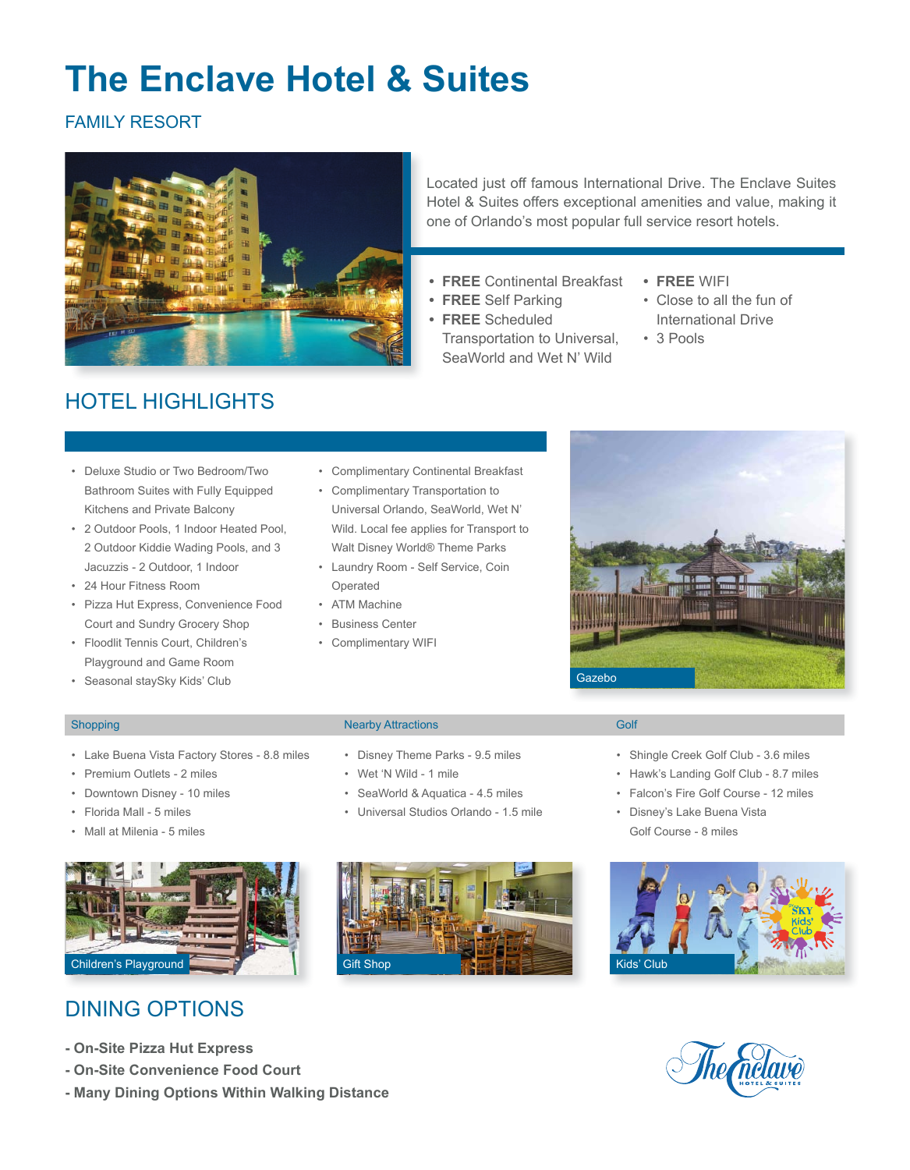# **The Enclave Hotel & Suites**

### FAMILY RESORT



Located just off famous International Drive. The Enclave Suites Hotel & Suites offers exceptional amenities and value, making it one of Orlando's most popular full service resort hotels.

- **• FREE** Continental Breakfast
- **• FREE** Self Parking
- **• FREE** Scheduled
- Transportation to Universal, SeaWorld and Wet N' Wild
- **• FREE** WIFI
- • Close to all the fun of International Drive
- • 3 Pools

# HOTEL HIGHLIGHTS

- • Deluxe Studio or Two Bedroom/Two Bathroom Suites with Fully Equipped Kitchens and Private Balcony
- • 2 Outdoor Pools, 1 Indoor Heated Pool, 2 Outdoor Kiddie Wading Pools, and 3 Jacuzzis - 2 Outdoor, 1 Indoor
- • 24 Hour Fitness Room
- • Pizza Hut Express, Convenience Food Court and Sundry Grocery Shop
- • Floodlit Tennis Court, Children's Playground and Game Room
- • Seasonal staySky Kids' Club
- • Complimentary Continental Breakfast
- • Complimentary Transportation to Universal Orlando, SeaWorld, Wet N' Wild. Local fee applies for Transport to Walt Disney World® Theme Parks
- • Laundry Room Self Service, Coin Operated
- • ATM Machine
- • Business Center
- • Complimentary WIFI



- • Lake Buena Vista Factory Stores 8.8 miles
- • Premium Outlets 2 miles
- • Downtown Disney 10 miles
- • Florida Mall 5 miles
- • Mall at Milenia 5 miles



### DINING OPTIONS

- **On-Site Pizza Hut Express**
- **On-Site Convenience Food Court**
- **Many Dining Options Within Walking Distance**

### Shopping **Nearby Attractions** Golf **Nearby Attractions** Contractions Golf **Contractions**

- • Disney Theme Parks 9.5 miles
- • Wet 'N Wild 1 mile
- • SeaWorld & Aquatica 4.5 miles
- • Universal Studios Orlando 1.5 mile



- • Shingle Creek Golf Club 3.6 miles
- • Hawk's Landing Golf Club 8.7 miles
- • Falcon's Fire Golf Course 12 miles
- • Disney's Lake Buena Vista Golf Course - 8 miles